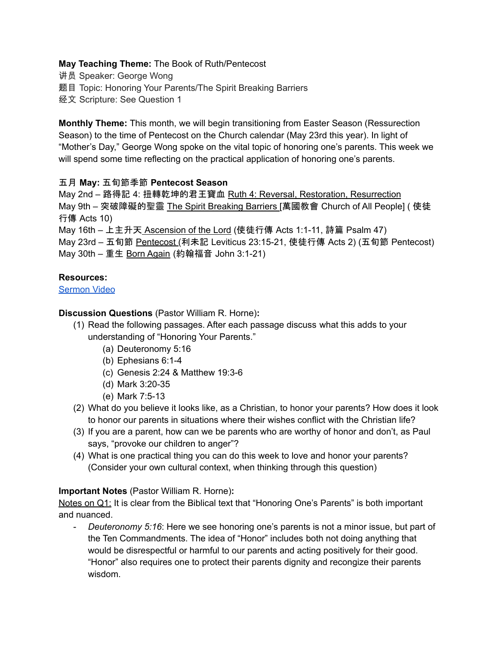### **May Teaching Theme:** The Book of Ruth/Pentecost

- 讲员 Speaker: George Wong
- 题目 Topic: Honoring Your Parents/The Spirit Breaking Barriers
- 经文 Scripture: See Question 1

**Monthly Theme:** This month, we will begin transitioning from Easter Season (Ressurection Season) to the time of Pentecost on the Church calendar (May 23rd this year). In light of "Mother's Day," George Wong spoke on the vital topic of honoring one's parents. This week we will spend some time reflecting on the practical application of honoring one's parents.

# 五月 **May:** 五旬節季節 **Pentecost Season**

May 2nd – 路得記 4: 扭轉乾坤的君王寶血 Ruth 4: Reversal, Restoration, Resurrection May 9th – 突破障礙的聖靈 The Spirit Breaking Barriers [萬國教會 Church of All People] ( 使徒 行傳 Acts 10)

May 16th – 上主升天 Ascension of the Lord (使徒行傳 Acts 1:1-11, 詩篇 Psalm 47) May 23rd – 五旬節 Pentecost (利未記 Leviticus 23:15-21, 使徒行傳 Acts 2) (五旬節 Pentecost) May 30th – 重生 Born Again (約翰福音 John 3:1-21)

# **Resources:**

[Sermon](https://www.youtube.com/watch?v=x6xRqtzK73U) Video

# **Discussion Questions** (Pastor William R. Horne)**:**

- (1) Read the following passages. After each passage discuss what this adds to your understanding of "Honoring Your Parents."
	- (a) Deuteronomy 5:16
	- (b) Ephesians 6:1-4
	- (c) Genesis 2:24 & Matthew 19:3-6
	- (d) Mark 3:20-35
	- (e) Mark 7:5-13
- (2) What do you believe it looks like, as a Christian, to honor your parents? How does it look to honor our parents in situations where their wishes conflict with the Christian life?
- (3) If you are a parent, how can we be parents who are worthy of honor and don't, as Paul says, "provoke our children to anger"?
- (4) What is one practical thing you can do this week to love and honor your parents? (Consider your own cultural context, when thinking through this question)

### **Important Notes** (Pastor William R. Horne)**:**

Notes on Q1: It is clear from the Biblical text that "Honoring One's Parents" is both important and nuanced.

- *Deuteronomy 5:16*: Here we see honoring one's parents is not a minor issue, but part of the Ten Commandments. The idea of "Honor" includes both not doing anything that would be disrespectful or harmful to our parents and acting positively for their good. "Honor" also requires one to protect their parents dignity and recongize their parents wisdom.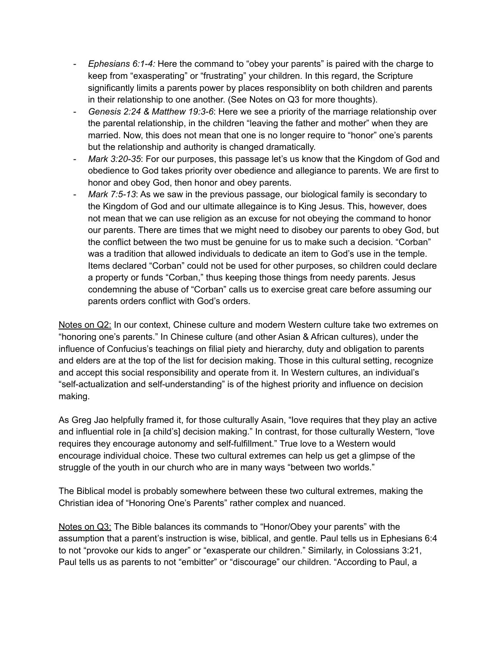- *Ephesians 6:1-4:* Here the command to "obey your parents" is paired with the charge to keep from "exasperating" or "frustrating" your children. In this regard, the Scripture significantly limits a parents power by places responsiblity on both children and parents in their relationship to one another. (See Notes on Q3 for more thoughts).
- *Genesis 2:24 & Matthew 19:3-6*: Here we see a priority of the marriage relationship over the parental relationship, in the children "leaving the father and mother" when they are married. Now, this does not mean that one is no longer require to "honor" one's parents but the relationship and authority is changed dramatically.
- *Mark 3:20-35*: For our purposes, this passage let's us know that the Kingdom of God and obedience to God takes priority over obedience and allegiance to parents. We are first to honor and obey God, then honor and obey parents.
- *Mark 7:5-13*: As we saw in the previous passage, our biological family is secondary to the Kingdom of God and our ultimate allegaince is to King Jesus. This, however, does not mean that we can use religion as an excuse for not obeying the command to honor our parents. There are times that we might need to disobey our parents to obey God, but the conflict between the two must be genuine for us to make such a decision. "Corban" was a tradition that allowed individuals to dedicate an item to God's use in the temple. Items declared "Corban" could not be used for other purposes, so children could declare a property or funds "Corban," thus keeping those things from needy parents. Jesus condemning the abuse of "Corban" calls us to exercise great care before assuming our parents orders conflict with God's orders.

Notes on Q2: In our context, Chinese culture and modern Western culture take two extremes on "honoring one's parents." In Chinese culture (and other Asian & African cultures), under the influence of Confucius's teachings on filial piety and hierarchy, duty and obligation to parents and elders are at the top of the list for decision making. Those in this cultural setting, recognize and accept this social responsibility and operate from it. In Western cultures, an individual's "self-actualization and self-understanding" is of the highest priority and influence on decision making.

As Greg Jao helpfully framed it, for those culturally Asain, "love requires that they play an active and influential role in [a child's] decision making." In contrast, for those culturally Western, "love requires they encourage autonomy and self-fulfillment." True love to a Western would encourage individual choice. These two cultural extremes can help us get a glimpse of the struggle of the youth in our church who are in many ways "between two worlds."

The Biblical model is probably somewhere between these two cultural extremes, making the Christian idea of "Honoring One's Parents" rather complex and nuanced.

Notes on Q3: The Bible balances its commands to "Honor/Obey your parents" with the assumption that a parent's instruction is wise, biblical, and gentle. Paul tells us in Ephesians 6:4 to not "provoke our kids to anger" or "exasperate our children." Similarly, in Colossians 3:21, Paul tells us as parents to not "embitter" or "discourage" our children. "According to Paul, a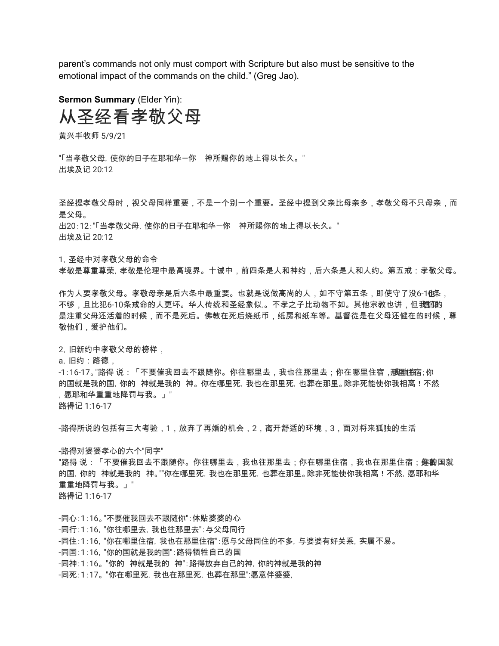parent's commands not only must comport with Scripture but also must be sensitive to the emotional impact of the commands on the child." (Greg Jao).

**Sermon Summary** (Elder Yin): 从圣经看孝敬父母

黃兴丰牧师 5/9/21

"「当孝敬父母,使你的日子在耶和华-你 神所赐你的地上得以长久。" 出埃及记 20:12

圣经提孝敬父母时,视父母同样重要,不是一个别一个重要。圣经中提到父亲比母亲多,孝敬父母不只母亲,而 是父母。 出20:12:"「当孝敬父母,使你的日子在耶和华—你 神所赐你的地上得以长久。"

出埃及记 20:12

1,圣经中对孝敬父母的命令

孝敬是尊重尊荣,孝敬是伦理中最高境界。十诫中,前四条是人和神约,后六条是人和人约。第五戒:孝敬父母。

作为人要孝敬父母。孝敬母亲是后六条中最重要。也就是说做高尚的人,如不守第五条,即使守了没6-1也条, 不够,且比犯6-10条戒命的人更坏。华人传统和圣经象似.。不孝之子比动物不如。其他宗教也讲,但我面的 是注重父母还活着的时候,而不是死后。佛教在死后烧纸币,纸房和纸车等。基督徒是在父母还健在的时候,尊 敬他们,爱护他们。

2,旧新约中孝敬父母的榜样,

a,旧约:路德,

-1:16-17。"路得 说:「不要催我回去不跟随你。你往哪里去,我也往那里去;你在哪里住宿 ,<del>那運(花</del>官;你 的国就是我的国, 你的 神就是我的 神。 你在哪里死, 我也在那里死, 也葬在那里。除非死能使你我相离!不然 ,愿耶和华重重地降罚与我。」"

路得记 1:16-17

-路得所说的包括有三大考验,1,放弃了再婚的机会,2,离开舒适的环境,3,面对将来狐独的生活

-路得对婆婆孝心的六个"同字"

"路得 说:「不要催我回去不跟随你。你往哪里去,我也往那里去;你在哪里住宿,我也在那里住宿;<del>像</del>鼩国就 的国,你的 神就是我的 神。""你在哪里死,我也在那里死,也葬在那里。除非死能使你我相离!不然,愿耶和华 重重地降罚与我。」" 路得记 1:16-17

-同心:1:16。"不要催我回去不跟随你":体贴婆婆的心 -同行:1:16,"你往哪里去,我也往那里去":与父母同行 -同住:1:16,"你在哪里住宿,我也在那里住宿":愿与父母同住的不多,与婆婆有好关系,实属不易。 -同国:1:16,"你的国就是我的国":路得牺牲自己的国 -同神:1:16。 "你的 神就是我的 神":路得放弃自己的神,你的神就是我的神 -同死:1:17。 "你在哪里死,我也在那里死,也葬在那里":愿意伴婆婆,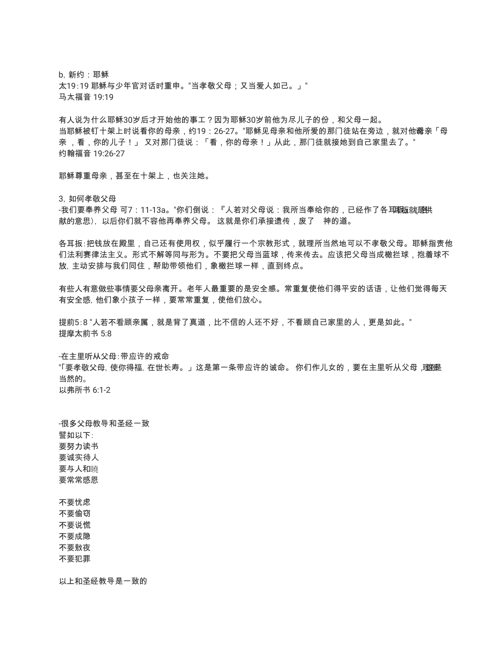b,新约:耶稣 太19:19 耶稣与少年官对话时重申。"当孝敬父母;又当爱人如己。」" 马太福音 19:19

有人说为什么耶稣30岁后才开始他的事工?因为耶稣30岁前他为尽儿子的份,和父母一起。 当耶稣被钉十架上时说看你的母亲,约19:26-27。"耶稣见母亲和他所爱的那门徒站在旁边,就对他**谠**亲「母 亲 ,看,你的儿子!」 又对那门徒说:「看,你的母亲!」从此,那门徒就接她到自己家里去了。" 约翰福音 19:26-27

耶稣尊重母亲,甚至在十架上,也关注她。

3. 如何孝敬父母

-我们要奉养父母 可7:11-13a。"你们倒说:『人若对父母说:我所当奉给你的,已经作了各耳**取**板就是供 献的意思), 以后你们就不容他再奉养父母。 这就是你们承接遗传,废了 神的道。

各耳扳:把钱放在殿里,自己还有使用权,似乎履行一个宗教形式,就理所当然地可以不孝敬父母。耶稣指责他 们法利赛律法主义。形式不解等同与形为。不要把父母当蓝球,传来传去。应该把父母当成橄拦球,抱着球不 放,主动安排与我们同住,帮助带领他们,象橄拦球一样,直到终点。

有些人有意做些事情要父母亲离开。老年人最重要的是安全感。常重复使他们得平安的话语,让他们觉得每天 有安全感,他们象小孩子一样,要常常重复,使他们放心。

提前5:8 "人若不看顾亲属,就是背了真道,比不信的人还不好,不看顾自己家里的人,更是如此。" 提摩太前书 5:8

-在主里听从父母:带应许的戒命

"「要孝敬父母, 使你得福, 在世长寿。」这是第一条带应许的诫命。 你们作儿女的,要在主里听从父母 ,理**犯**是 当然的。

以弗所书 6:1-2

-很多父母教导和圣经一致 譬如以下: 要努力读书 要诚实待人 要与人和睦 要常常感恩 不要忧虑 不要偷窃 不要说慌 不要成隐 不要敖夜 不要犯罪

以上和圣经教导是一致的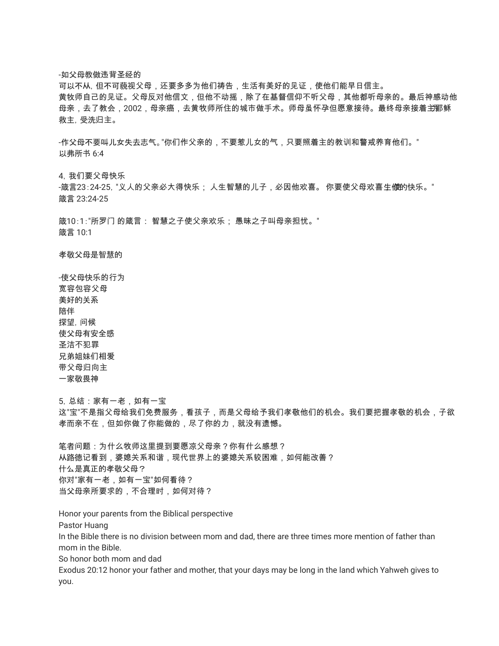-如父母教做违背圣经的

可以不从,但不可藐视父母,还要多多为他们祷告,生活有美好的见证,使他们能早日信主。 黄牧师自己的见证。父母反对他信文,但他不动摇,除了在基督信仰不听父母,其他都听母亲的。最后神感动他 母亲,去了教会,2002,母亲癌,去黄牧师所住的城市做手术。师母虽怀孕但愿意接待。最终母亲接着主那稣 救主,受洗归主。

-作父母不要叫儿女失去志气。"你们作父亲的,不要惹儿女的气,只要照着主的教训和警戒养育他们。" 以弗所书 6:4

4,我们要父母快乐

-箴言23:24-25, "义人的父亲必大得快乐; 人生智慧的儿子,必因他欢喜。 你要使父母欢喜生**侬**的快乐。" 箴言 23:24-25

箴10:1:"所罗门 的箴言: 智慧之子使父亲欢乐; 愚昧之子叫母亲担忧。" 箴言 10:1

孝敬父母是智慧的

-使父母快乐的行为 宽容包容父母 美好的关系 陪伴 探望,问候 使父母有安全感 圣洁不犯罪 兄弟姐妹们相爱 带父母归向主 一家敬畏神

5,总结:家有一老,如有一宝 这"宝"不是指父母给我们免费服务,看孩子,而是父母给予我们孝敬他们的机会。我们要把握孝敬的机会,子欲 孝而亲不在,但如你做了你能做的,尽了你的力,就没有遗憾。

笔者问题:为什么牧师这里提到要愿凉父母亲?你有什么感想? 从路德记看到,婆媳关系和谐,现代世界上的婆媳关系较困难,如何能改善? 什么是真正的孝敬父母? 你对"家有一老,如有一宝"如何看待? 当父母亲所要求的,不合理时,如何对待?

Honor your parents from the Biblical perspective Pastor Huang In the Bible there is no division between mom and dad, there are three times more mention of father than mom in the Bible. So honor both mom and dad Exodus 20:12 honor your father and mother, that your days may be long in the land which Yahweh gives to you.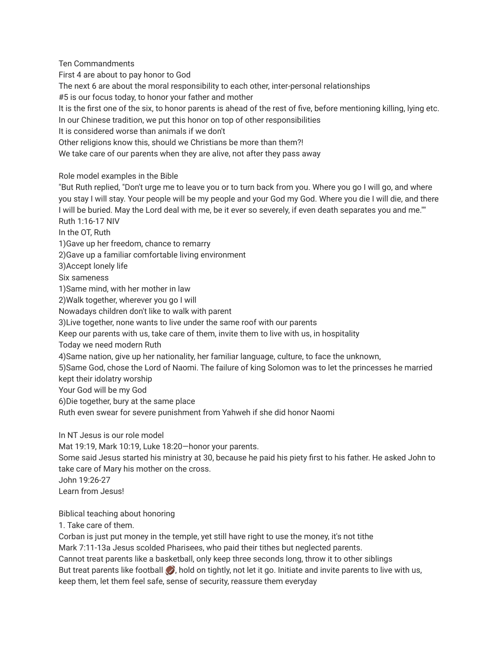Ten Commandments First 4 are about to pay honor to God The next 6 are about the moral responsibility to each other, inter-personal relationships #5 is our focus today, to honor your father and mother It is the first one of the six, to honor parents is ahead of the rest of five, before mentioning killing, lying etc. In our Chinese tradition, we put this honor on top of other responsibilities It is considered worse than animals if we don't Other religions know this, should we Christians be more than them?! We take care of our parents when they are alive, not after they pass away Role model examples in the Bible

"But Ruth replied, "Don't urge me to leave you or to turn back from you. Where you go I will go, and where you stay I will stay. Your people will be my people and your God my God. Where you die I will die, and there I will be buried. May the Lord deal with me, be it ever so severely, if even death separates you and me."" Ruth 1:16-17 NIV In the OT, Ruth 1)Gave up her freedom, chance to remarry 2)Gave up a familiar comfortable living environment 3)Accept lonely life Six sameness 1)Same mind, with her mother in law 2)Walk together, wherever you go I will Nowadays children don't like to walk with parent 3)Live together, none wants to live under the same roof with our parents Keep our parents with us, take care of them, invite them to live with us, in hospitality Today we need modern Ruth 4)Same nation, give up her nationality, her familiar language, culture, to face the unknown, 5)Same God, chose the Lord of Naomi. The failure of king Solomon was to let the princesses he married kept their idolatry worship Your God will be my God 6)Die together, bury at the same place Ruth even swear for severe punishment from Yahweh if she did honor Naomi

In NT Jesus is our role model

Mat 19:19, Mark 10:19, Luke 18:20—honor your parents.

Some said Jesus started his ministry at 30, because he paid his piety first to his father. He asked John to take care of Mary his mother on the cross.

John 19:26-27

Learn from Jesus!

Biblical teaching about honoring

1. Take care of them.

Corban is just put money in the temple, yet still have right to use the money, it's not tithe Mark 7:11-13a Jesus scolded Pharisees, who paid their tithes but neglected parents. Cannot treat parents like a basketball, only keep three seconds long, throw it to other siblings But treat parents like football **b**, hold on tightly, not let it go. Initiate and invite parents to live with us, keep them, let them feel safe, sense of security, reassure them everyday